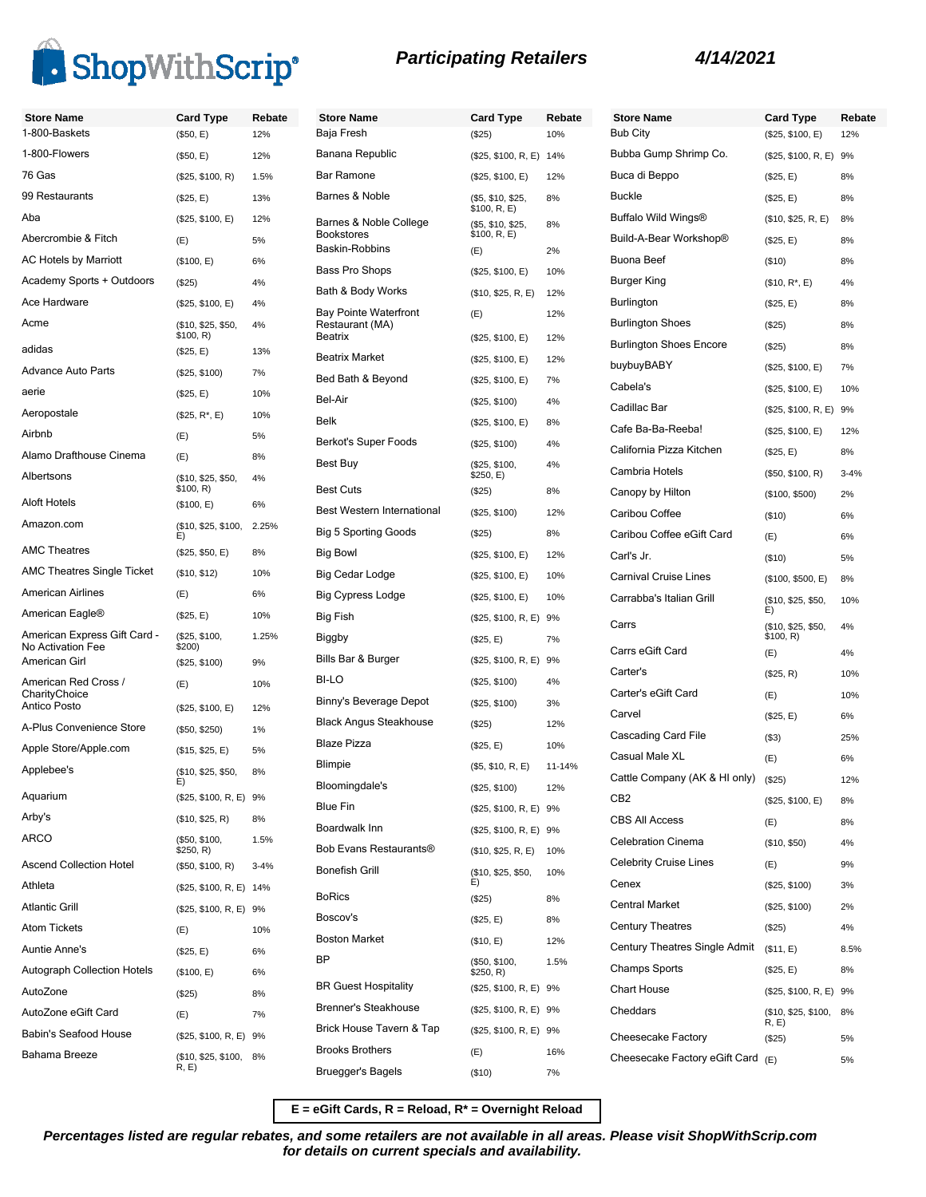

|  |  | <b>Participating Retailers</b> |
|--|--|--------------------------------|
|--|--|--------------------------------|

| <b>Store Name</b>                     | <b>Card Type</b>                       | Rebate    | <b>Store Name</b>                               | <b>Card Type</b>                             | Rebate |
|---------------------------------------|----------------------------------------|-----------|-------------------------------------------------|----------------------------------------------|--------|
| 1-800-Baskets                         | (\$50, E)                              | 12%       | Baja Fresh                                      | (\$25)                                       | 10%    |
| 1-800-Flowers                         | (\$50, E)                              | 12%       | Banana Republic                                 | (\$25, \$100, R, E) 14%                      |        |
| 76 Gas                                | (\$25, \$100, R)                       | 1.5%      | <b>Bar Ramone</b>                               | (\$25, \$100, E)                             | 12%    |
| 99 Restaurants                        | (\$25, E)                              | 13%       | Barnes & Noble                                  | (\$5, \$10, \$25,<br>\$100, R, E)            | 8%     |
| Aba<br>Abercrombie & Fitch            | (\$25, \$100, E)<br>(E)                | 12%<br>5% | Barnes & Noble College<br><b>Bookstores</b>     | (\$5, \$10, \$25,<br>\$100, R, E)            | 8%     |
| <b>AC Hotels by Marriott</b>          |                                        | 6%        | Baskin-Robbins                                  | (E)                                          | 2%     |
| Academy Sports + Outdoors             | (\$100, E)                             |           | Bass Pro Shops                                  | (\$25, \$100, E)                             | 10%    |
| Ace Hardware                          | (\$25)                                 | 4%        | Bath & Body Works                               | (\$10, \$25, R, E)                           | 12%    |
| Acme                                  | (\$25, \$100, E)<br>(\$10, \$25, \$50, | 4%<br>4%  | <b>Bay Pointe Waterfront</b><br>Restaurant (MA) | (E)                                          | 12%    |
| adidas                                | \$100, R)<br>(\$25, E)                 | 13%       | <b>Beatrix</b>                                  | (\$25, \$100, E)                             | 12%    |
| <b>Advance Auto Parts</b>             | (\$25, \$100)                          | 7%        | <b>Beatrix Market</b>                           | (\$25, \$100, E)                             | 12%    |
| aerie                                 |                                        | 10%       | Bed Bath & Beyond                               | (\$25, \$100, E)                             | 7%     |
| Aeropostale                           | (\$25, E)                              |           | Bel-Air                                         | (\$25, \$100)                                | 4%     |
|                                       | $($25, R^*, E)$                        | 10%       | Belk                                            | (\$25, \$100, E)                             | 8%     |
| Airbnb                                | (E)                                    | 5%        | Berkot's Super Foods                            | (\$25, \$100)                                | 4%     |
| Alamo Drafthouse Cinema               | (E)                                    | 8%        | Best Buy                                        | (\$25, \$100,                                | 4%     |
| Albertsons                            | (\$10, \$25, \$50,<br>\$100, R)        | 4%        | <b>Best Cuts</b>                                | \$250, E)<br>(\$25)                          | 8%     |
| Aloft Hotels                          | (\$100, E)                             | 6%        | Best Western International                      | (\$25, \$100)                                | 12%    |
| Amazon.com                            | (\$10, \$25, \$100,                    | 2.25%     | <b>Big 5 Sporting Goods</b>                     | (\$25)                                       | 8%     |
| <b>AMC Theatres</b>                   | E)<br>(\$25, \$50, E)                  | 8%        | <b>Big Bowl</b>                                 | (\$25, \$100, E)                             | 12%    |
| <b>AMC Theatres Single Ticket</b>     | (\$10, \$12)                           | 10%       | Big Cedar Lodge                                 | (\$25, \$100, E)                             | 10%    |
| American Airlines                     | (E)                                    | 6%        | <b>Big Cypress Lodge</b>                        | (\$25, \$100, E)                             | 10%    |
| American Eagle®                       | (\$25, E)                              | 10%       | Big Fish                                        |                                              |        |
| American Express Gift Card -          | (\$25, \$100,                          | 1.25%     | Biggby                                          | (\$25, \$100, R, E) 9%<br>(\$25, E)          | 7%     |
| No Activation Fee                     | \$200)                                 |           | Bills Bar & Burger                              |                                              |        |
| American Girl                         | (\$25, \$100)                          | 9%        | BI-LO                                           | (\$25, \$100, R, E) 9%                       |        |
| American Red Cross /<br>CharityChoice | (E)                                    | 10%       | Binny's Beverage Depot                          | (\$25, \$100)                                | 4%     |
| Antico Posto                          | (\$25, \$100, E)                       | 12%       |                                                 | (\$25, \$100)                                | 3%     |
| A-Plus Convenience Store              | (\$50, \$250)                          | 1%        | <b>Black Angus Steakhouse</b>                   | (\$25)                                       | 12%    |
| Apple Store/Apple.com                 | (\$15, \$25, E)                        | 5%        | <b>Blaze Pizza</b>                              | (\$25, E)                                    | 10%    |
| Applebee's                            | (\$10, \$25, \$50,                     | 8%        | <b>Blimpie</b>                                  | (\$5, \$10, R, E)                            | 11-14% |
| Aquarium                              | (\$25, \$100, R, E) 9%                 |           | Bloomingdale's                                  | (\$25, \$100)                                | 12%    |
| Arby's                                | (\$10, \$25, R)                        | 8%        | Blue Fin                                        | (\$25, \$100, R, E) 9%                       |        |
| ARCO                                  | (\$50, \$100,<br>\$250, R)             | 1.5%      | Boardwalk Inn<br>Bob Evans Restaurants®         | (\$25, \$100, R, E) 9%<br>(\$10, \$25, R, E) | 10%    |
| <b>Ascend Collection Hotel</b>        | (\$50, \$100, R)                       | $3 - 4%$  | <b>Bonefish Grill</b>                           |                                              |        |
| Athleta                               | (\$25, \$100, R, E) 14%                |           |                                                 | (\$10, \$25, \$50,<br>E)                     | 10%    |
| <b>Atlantic Grill</b>                 | (\$25, \$100, R, E) 9%                 |           | <b>BoRics</b>                                   | (\$25)                                       | 8%     |
| <b>Atom Tickets</b>                   | (E)                                    | 10%       | Boscov's                                        | (\$25, E)                                    | 8%     |
| Auntie Anne's                         | (\$25, E)                              | 6%        | <b>Boston Market</b>                            | (\$10, E)                                    | 12%    |
| <b>Autograph Collection Hotels</b>    | (\$100, E)                             | 6%        | ΒP                                              | (\$50, \$100,<br>\$250, R)                   | 1.5%   |
| AutoZone                              | (\$25)                                 | 8%        | <b>BR Guest Hospitality</b>                     | (\$25, \$100, R, E) 9%                       |        |
| AutoZone eGift Card                   | (E)                                    | 7%        | <b>Brenner's Steakhouse</b>                     | (\$25, \$100, R, E) 9%                       |        |
| Babin's Seafood House                 | (\$25, \$100, R, E) 9%                 |           | Brick House Tavern & Tap                        | (\$25, \$100, R, E) 9%                       |        |
| Bahama Breeze                         |                                        | 8%        | <b>Brooks Brothers</b>                          | (E)                                          | 16%    |
|                                       | (\$10, \$25, \$100,<br>R, E)           |           | <b>Bruegger's Bagels</b>                        | (\$10)                                       | 7%     |

| <b>Store Name</b>              | <b>Card Type</b>                | Rebate   |
|--------------------------------|---------------------------------|----------|
| <b>Bub City</b>                | (\$25, \$100, E)                | 12%      |
| Bubba Gump Shrimp Co.          | (\$25, \$100, R, E)             | 9%       |
| Buca di Beppo                  | (\$25, E)                       | 8%       |
| <b>Buckle</b>                  | (\$25, E)                       | 8%       |
| Buffalo Wild Wings®            | (\$10, \$25, R, E)              | 8%       |
| Build-A-Bear Workshop®         | (\$25, E)                       | 8%       |
| <b>Buona Beef</b>              | (\$10)                          | 8%       |
| <b>Burger King</b>             | $($10, R^*, E)$                 | 4%       |
| Burlington                     | (\$25, E)                       | 8%       |
| <b>Burlington Shoes</b>        | (\$25)                          | 8%       |
| <b>Burlington Shoes Encore</b> | (\$25)                          | 8%       |
| buybuyBABY                     | (\$25, \$100, E)                | 7%       |
| Cabela's                       | (\$25, \$100, E)                | 10%      |
| Cadillac Bar                   | (\$25, \$100, R, E)             | 9%       |
| Cafe Ba-Ba-Reeba!              | (\$25, \$100, E)                | 12%      |
| California Pizza Kitchen       | (\$25, E)                       | 8%       |
| Cambria Hotels                 | (\$50, \$100, R)                | $3 - 4%$ |
| Canopy by Hilton               | (\$100, \$500)                  | 2%       |
| Caribou Coffee                 | (\$10)                          | 6%       |
| Caribou Coffee eGift Card      | (E)                             | 6%       |
| Carl's Jr.                     | (\$10)                          | 5%       |
| <b>Carnival Cruise Lines</b>   | (\$100, \$500, E)               | 8%       |
| Carrabba's Italian Grill       | (\$10, \$25, \$50,<br>E)        | 10%      |
| Carrs                          | (\$10, \$25, \$50,<br>\$100, R) | 4%       |
| Carrs eGift Card               | (E)                             | 4%       |
| Carter's                       | (\$25, R)                       | 10%      |
| Carter's eGift Card            | (E)                             | 10%      |
| Carvel                         | (\$25, E)                       | 6%       |
| Cascading Card File            | (S3)                            | 25%      |
| Casual Male XL                 | (E)                             | 6%       |
| Cattle Company (AK & HI only)  | (\$25)                          | 12%      |
| CB2                            | (\$25, \$100, E)                | 8%       |
| <b>CBS All Access</b>          | (E)                             | 8%       |
| <b>Celebration Cinema</b>      | (\$10, \$50)                    | 4%       |
| <b>Celebrity Cruise Lines</b>  | (E)                             | 9%       |
| Cenex                          | (\$25, \$100)                   | 3%       |
| <b>Central Market</b>          | (\$25, \$100)                   | 2%       |
| <b>Century Theatres</b>        | $(\$25)$                        | 4%       |
| Century Theatres Single Admit  | (\$11, E)                       | 8.5%     |
| <b>Champs Sports</b>           | (\$25, E)                       | 8%       |
| <b>Chart House</b>             | (\$25, \$100, R, E)             | 9%       |
| Cheddars                       | (\$10, \$25, \$100,<br>R, E)    | 8%       |
| Cheesecake Factory             | (\$25)                          | 5%       |
| Cheesecake Factory eGift Card  | (E)                             | 5%       |

**E = eGift Cards, R = Reload, R\* = Overnight Reload**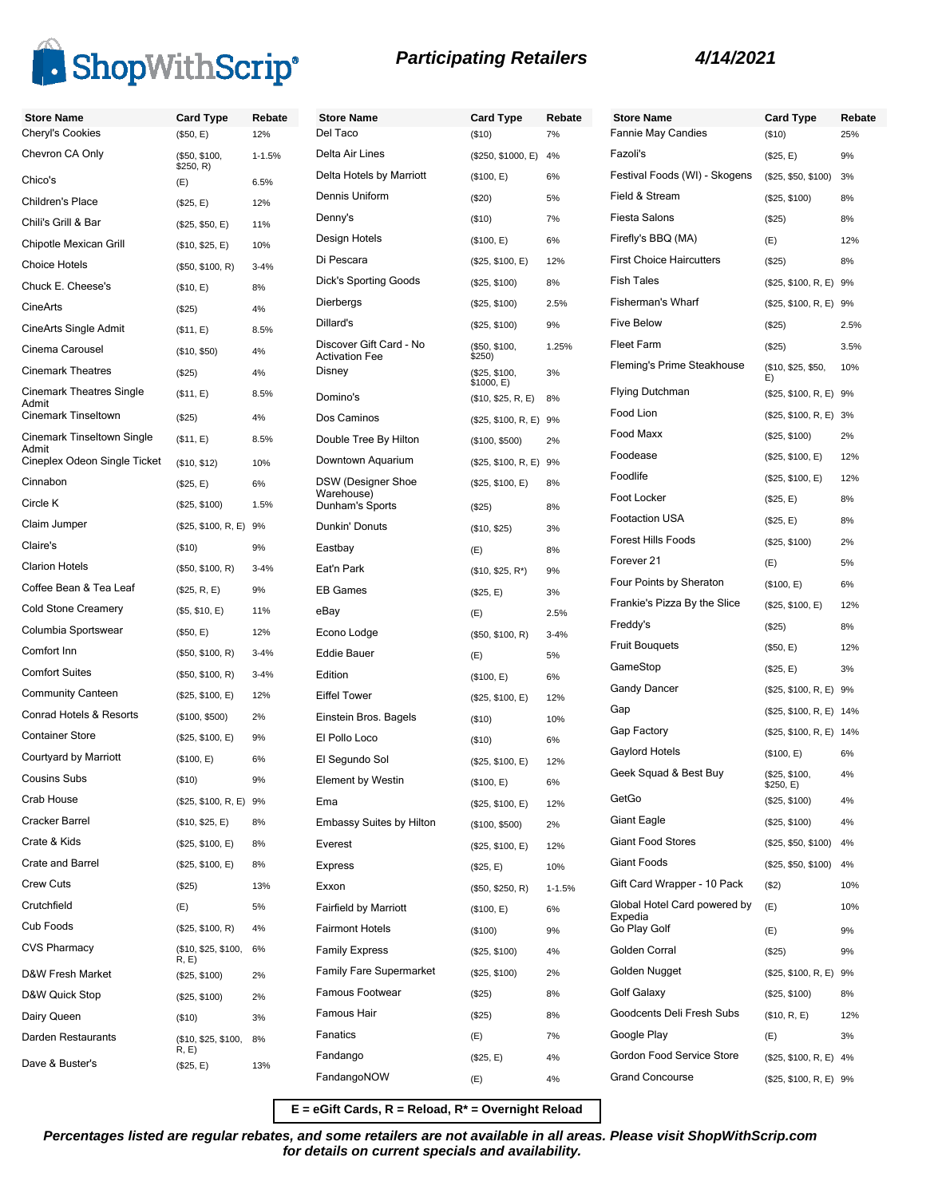

| <b>Store Name</b>                     | <b>Card Type</b>             | Rebate     | <b>Store Name</b>                                | <b>Card Type</b>                 | Rebate     | <b>Store Na</b>      |
|---------------------------------------|------------------------------|------------|--------------------------------------------------|----------------------------------|------------|----------------------|
| Cheryl's Cookies                      | (\$50, E)                    | 12%        | Del Taco                                         | (\$10)                           | 7%         | Fannie Ma            |
| Chevron CA Only                       | (\$50, \$100,<br>\$250, R)   | $1 - 1.5%$ | Delta Air Lines                                  | (\$250, \$1000, E)               | 4%         | Fazoli's             |
| Chico's                               | (E)                          | 6.5%       | Delta Hotels by Marriott                         | (\$100, E)                       | 6%         | Festival F           |
| Children's Place                      | (\$25, E)                    | 12%        | Dennis Uniform                                   | (\$20)                           | 5%         | Field & St           |
| Chili's Grill & Bar                   | (\$25, \$50, E)              | 11%        | Denny's                                          | (\$10)                           | 7%         | Fiesta Sal           |
| Chipotle Mexican Grill                | (\$10, \$25, E)              | 10%        | Design Hotels                                    | (\$100, E)                       | 6%         | Firefly's B          |
| <b>Choice Hotels</b>                  | (\$50, \$100, R)             | $3 - 4%$   | Di Pescara                                       | (\$25, \$100, E)                 | 12%        | First Choi           |
| Chuck E. Cheese's                     | (\$10, E)                    | 8%         | <b>Dick's Sporting Goods</b>                     | (\$25, \$100)                    | 8%         | <b>Fish Tales</b>    |
| CineArts                              | (\$25)                       | 4%         | Dierbergs                                        | (\$25, \$100)                    | 2.5%       | Fishermar            |
| CineArts Single Admit                 | (\$11, E)                    | 8.5%       | Dillard's                                        | (\$25, \$100)                    | 9%         | <b>Five Beloy</b>    |
| Cinema Carousel                       | (\$10, \$50)                 | 4%         | Discover Gift Card - No<br><b>Activation Fee</b> | (\$50, \$100,<br>\$250)          | 1.25%      | <b>Fleet Farn</b>    |
| <b>Cinemark Theatres</b>              | (\$25)                       | 4%         | Disney                                           | (\$25, \$100,                    | 3%         | Fleming's            |
| <b>Cinemark Theatres Single</b>       | (\$11, E)                    | 8.5%       | Domino's                                         | \$1000, E)<br>(\$10, \$25, R, E) | 8%         | Flying Dut           |
| Admit<br>Cinemark Tinseltown          | (\$25)                       | 4%         | Dos Caminos                                      | (\$25, \$100, R, E) 9%           |            | Food Lion            |
| <b>Cinemark Tinseltown Single</b>     | (\$11, E)                    | 8.5%       | Double Tree By Hilton                            | (\$100, \$500)                   | 2%         | Food Max             |
| Admit<br>Cineplex Odeon Single Ticket | (\$10, \$12)                 | 10%        | Downtown Aquarium                                | (\$25, \$100, R, E) 9%           |            | Foodease             |
| Cinnabon                              |                              |            | <b>DSW</b> (Designer Shoe                        | (\$25, \$100, E)                 | 8%         | Foodlife             |
| Circle K                              | (\$25, E)                    | 6%         | Warehouse)                                       |                                  |            | Foot Lock            |
| Claim Jumper                          | (\$25, \$100)                | 1.5%       | Dunham's Sports                                  | (\$25)                           | 8%         | Footaction           |
| Claire's                              | (\$25, \$100, R, E) 9%       |            | Dunkin' Donuts                                   | (\$10, \$25)                     | 3%         | Forest Hill          |
|                                       | (\$10)                       | 9%         | Eastbay                                          | (E)                              | 8%         | Forever <sub>2</sub> |
| <b>Clarion Hotels</b>                 | (\$50, \$100, R)             | $3 - 4%$   | Eat'n Park                                       | $($10, $25, R^*)$                | 9%         | Four Poin            |
| Coffee Bean & Tea Leaf                | (\$25, R, E)                 | 9%         | <b>EB Games</b>                                  | (\$25, E)                        | 3%         | Frankie's            |
| <b>Cold Stone Creamery</b>            | (\$5, \$10, E)               | 11%        | eBay                                             | (E)                              | 2.5%       | Freddy's             |
| Columbia Sportswear                   | (\$50, E)                    | 12%        | Econo Lodge                                      | (\$50, \$100, R)                 | $3 - 4%$   | <b>Fruit Boud</b>    |
| Comfort Inn                           | (\$50, \$100, R)             | $3 - 4%$   | <b>Eddie Bauer</b>                               | (E)                              | 5%         | GameSto              |
| <b>Comfort Suites</b>                 | (\$50, \$100, R)             | $3 - 4%$   | Edition                                          | (\$100, E)                       | 6%         |                      |
| <b>Community Canteen</b>              | (\$25, \$100, E)             | 12%        | <b>Eiffel Tower</b>                              | (\$25, \$100, E)                 | 12%        | Gandy Da             |
| Conrad Hotels & Resorts               | (\$100, \$500)               | 2%         | Einstein Bros. Bagels                            | (\$10)                           | 10%        | Gap                  |
| <b>Container Store</b>                | (\$25, \$100, E)             | 9%         | El Pollo Loco                                    | (\$10)                           | 6%         | Gap Facto            |
| Courtyard by Marriott                 | (\$100, E)                   | 6%         | El Segundo Sol                                   | (\$25, \$100, E)                 | 12%        | Gaylord H            |
| <b>Cousins Subs</b>                   | (\$10)                       | 9%         | <b>Element by Westin</b>                         | (\$100, E)                       | 6%         | Geek Squ             |
| Crab House                            | (\$25, \$100, R, E) 9%       |            | Ema                                              | (\$25, \$100, E)                 | 12%        | GetGo                |
| Cracker Barrel                        | (\$10, \$25, E)              | 8%         | <b>Embassy Suites by Hilton</b>                  | (\$100, \$500)                   | 2%         | <b>Giant Eag</b>     |
| Crate & Kids                          | (\$25, \$100, E)             | 8%         | Everest                                          | (\$25, \$100, E)                 | 12%        | Giant Foo            |
| Crate and Barrel                      | (\$25, \$100, E)             | 8%         | <b>Express</b>                                   | (\$25, E)                        | 10%        | Giant Foo            |
| <b>Crew Cuts</b>                      | (\$25)                       | 13%        | Exxon                                            | (\$50, \$250, R)                 | $1 - 1.5%$ | Gift Card \          |
| Crutchfield                           | (E)                          | 5%         | <b>Fairfield by Marriott</b>                     | (\$100, E)                       | 6%         | Global Ho            |
| Cub Foods                             | (\$25, \$100, R)             | 4%         | <b>Fairmont Hotels</b>                           | (\$100)                          | 9%         | Expedia<br>Go Play G |
| <b>CVS Pharmacy</b>                   | (\$10, \$25, \$100,          | 6%         | <b>Family Express</b>                            | (\$25, \$100)                    | 4%         | Golden Co            |
| D&W Fresh Market                      | R, E)                        |            | <b>Family Fare Supermarket</b>                   | (\$25, \$100)                    | 2%         | Golden N             |
| D&W Quick Stop                        | (\$25, \$100)                | 2%         | Famous Footwear                                  | (\$25)                           | 8%         | Golf Gala:           |
| Dairy Queen                           | (\$25, \$100)                | 2%         | Famous Hair                                      | (\$25)                           | 8%         | Goodcent             |
|                                       | (\$10)                       | 3%         | Fanatics                                         | (E)                              | 7%         | Google Pl            |
| Darden Restaurants                    | (\$10, \$25, \$100,<br>R, E) | 8%         | Fandango                                         | (\$25, E)                        | 4%         | Gordon F             |
| Dave & Buster's                       | (\$25, E)                    | 13%        | FandangoNOW                                      |                                  | 4%         | Grand Co             |
|                                       |                              |            |                                                  | (E)                              |            |                      |

| <b>Store Name</b>                                       | <b>Card Type</b>          | Rebate |
|---------------------------------------------------------|---------------------------|--------|
| <b>Fannie May Candies</b>                               | (\$10)                    | 25%    |
| Fazoli's                                                | (\$25, E)                 | 9%     |
| Festival Foods (WI) - Skogens                           | (\$25, \$50, \$100)       | 3%     |
| Field & Stream                                          | (\$25, \$100)             | 8%     |
| <b>Fiesta Salons</b>                                    | $(\$25)$                  | 8%     |
| Firefly's BBQ (MA)                                      | (E)                       | 12%    |
| <b>First Choice Haircutters</b>                         | (\$25)                    | 8%     |
| <b>Fish Tales</b>                                       | (\$25, \$100, R, E) 9%    |        |
| Fisherman's Wharf                                       | (\$25, \$100, R, E) 9%    |        |
| <b>Five Below</b>                                       | $(\$25)$                  | 2.5%   |
| <b>Fleet Farm</b>                                       | (\$25)                    | 3.5%   |
| Fleming's Prime Steakhouse                              | (\$10, \$25, \$50,<br>E)  | 10%    |
| <b>Flying Dutchman</b>                                  | (\$25, \$100, R, E) 9%    |        |
| Food Lion                                               | (\$25, \$100, R, E) 3%    |        |
| Food Maxx                                               | (\$25, \$100)             | 2%     |
| Foodease                                                | (\$25, \$100, E)          | 12%    |
| Foodlife                                                | (\$25, \$100, E)          | 12%    |
| Foot Locker                                             | (\$25, E)                 | 8%     |
| <b>Footaction USA</b>                                   | (\$25, E)                 | 8%     |
| <b>Forest Hills Foods</b>                               | (\$25, \$100)             | 2%     |
| Forever 21                                              | (E)                       | 5%     |
| Four Points by Sheraton                                 | (\$100, E)                | 6%     |
| Frankie's Pizza By the Slice                            | (\$25, \$100, E)          | 12%    |
| Freddy's                                                | $(\$25)$                  | 8%     |
| <b>Fruit Bouquets</b>                                   | (\$50, E)                 | 12%    |
| GameStop                                                | (\$25, E)                 | 3%     |
| <b>Gandy Dancer</b>                                     | (\$25, \$100, R, E) 9%    |        |
| Gap                                                     | (\$25, \$100, R, E) 14%   |        |
| Gap Factory                                             | (\$25, \$100, R, E) 14%   |        |
| Gaylord Hotels                                          | (\$100, E)                | 6%     |
| Geek Squad & Best Buy                                   | (\$25, \$100,<br>(⊐, ∪ن∠¢ | 4%     |
| GetGo                                                   | (\$25, \$100)             | 4%     |
| Giant Eagle                                             | (\$25, \$100)             | 4%     |
| <b>Giant Food Stores</b>                                | (\$25, \$50, \$100)       | 4%     |
| <b>Giant Foods</b>                                      | (\$25, \$50, \$100)       | 4%     |
| Gift Card Wrapper - 10 Pack                             | (\$2)                     | 10%    |
| Global Hotel Card powered by<br>Expedia<br>Go Play Golf | (E)                       | 10%    |
| Golden Corral                                           | (E)                       | 9%     |
|                                                         | (\$25)                    | 9%     |
| Golden Nugget                                           | (\$25, \$100, R, E)       | 9%     |
| Golf Galaxy                                             | (\$25, \$100)             | 8%     |
| Goodcents Deli Fresh Subs                               | (\$10, R, E)              | 12%    |
| Google Play                                             | (E)                       | 3%     |
| Gordon Food Service Store                               | (\$25, \$100, R, E) 4%    |        |
| <b>Grand Concourse</b>                                  | (\$25, \$100, R, E)       | 9%     |

**E = eGift Cards, R = Reload, R\* = Overnight Reload**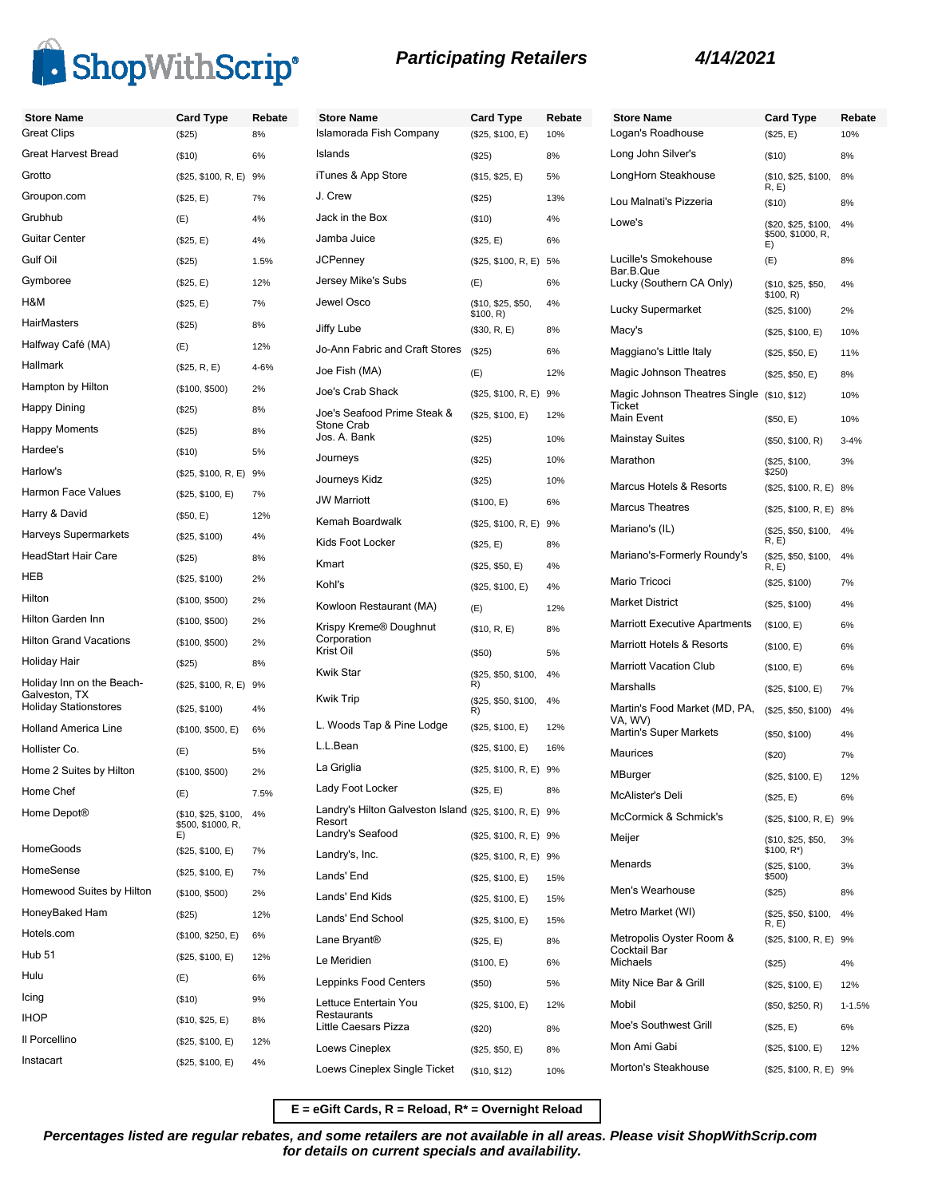



**Store Name Card Type Rebate** Logan's Roadhouse (\$25, E) 10%

(\$25, \$100, R, E) 9% (\$25) 4% (\$25, \$100, E) 12%  $($50, $250, R)$  1-1.5%  $(S25, E)$  6% (\$25, \$100, E) 12%  $$25, $100, R, E)$  9%

| <b>Store Name</b>                                                          | <b>Card Type</b>                                | Rebate     | <b>Store Name</b>                                                 | <b>Card Type</b>                | Rebate |
|----------------------------------------------------------------------------|-------------------------------------------------|------------|-------------------------------------------------------------------|---------------------------------|--------|
| <b>Great Clips</b>                                                         | (\$25)                                          | 8%         | Islamorada Fish Company                                           | (\$25, \$100, E)                | 10%    |
| <b>Great Harvest Bread</b>                                                 | (\$10)                                          | 6%         | Islands                                                           | (\$25)                          | 8%     |
| Grotto                                                                     | (\$25, \$100, R, E) 9%                          |            | iTunes & App Store                                                | (\$15, \$25, E)                 | 5%     |
| Groupon.com                                                                | (\$25, E)                                       | 7%         | J. Crew                                                           | (S25)                           | 13%    |
| Grubhub                                                                    | (E)                                             | 4%         | Jack in the Box                                                   | (\$10)                          | 4%     |
| <b>Guitar Center</b>                                                       | (\$25, E)                                       | 4%         | Jamba Juice                                                       | (\$25, E)                       | 6%     |
| Gulf Oil                                                                   | (\$25)                                          | 1.5%       | <b>JCPenney</b>                                                   | (\$25, \$100, R, E) 5%          |        |
| Gymboree                                                                   | (\$25, E)                                       | 12%        | Jersey Mike's Subs                                                | (E)                             | 6%     |
| H&M                                                                        | (\$25, E)                                       | 7%         | Jewel Osco                                                        | (\$10, \$25, \$50,              | 4%     |
| <b>HairMasters</b>                                                         | (\$25)                                          | 8%         | Jiffy Lube                                                        | \$100, R)                       | 8%     |
| Halfway Café (MA)                                                          | (E)                                             | 12%        | Jo-Ann Fabric and Craft Stores                                    | (\$30, R, E)                    |        |
| Hallmark                                                                   | (\$25, R, E)                                    | 4-6%       | Joe Fish (MA)                                                     | (\$25)                          | 6%     |
| Hampton by Hilton                                                          | (\$100, \$500)                                  | 2%         | Joe's Crab Shack                                                  | (E)                             | 12%    |
| Happy Dining                                                               | (\$25)                                          | 8%         | Joe's Seafood Prime Steak &                                       | (\$25, \$100, R, E) 9%          |        |
| <b>Happy Moments</b>                                                       | (\$25)                                          | 8%         | Stone Crab                                                        | (\$25, \$100, E)                | 12%    |
| Hardee's                                                                   | (\$10)                                          | 5%         | Jos. A. Bank                                                      | (\$25)                          | 10%    |
| Harlow's                                                                   | (\$25, \$100, R, E) 9%                          |            | Journeys                                                          | (\$25)                          | 10%    |
| Harmon Face Values                                                         | (\$25, \$100, E)                                | 7%         | Journeys Kidz                                                     | (\$25)                          | 10%    |
| Harry & David                                                              |                                                 | 12%        | <b>JW Marriott</b>                                                | (\$100, E)                      | 6%     |
| Harveys Supermarkets                                                       | (\$50, E)                                       |            | Kemah Boardwalk                                                   | (\$25, \$100, R, E) 9%          |        |
| <b>HeadStart Hair Care</b>                                                 | (\$25, \$100)                                   | 4%         | Kids Foot Locker                                                  | (\$25, E)                       | 8%     |
| <b>HEB</b>                                                                 | (\$25)                                          | 8%         | Kmart                                                             | (\$25, \$50, E)                 | 4%     |
|                                                                            | (\$25, \$100)                                   | 2%         | Kohl's                                                            | (\$25, \$100, E)                | 4%     |
| Hilton                                                                     | (\$100, \$500)                                  | 2%         | Kowloon Restaurant (MA)                                           | (E)                             | 12%    |
| Hilton Garden Inn                                                          | (\$100, \$500)                                  | 2%         | Krispy Kreme® Doughnut                                            | (\$10, R, E)                    | 8%     |
| <b>Hilton Grand Vacations</b>                                              | (\$100, \$500)                                  | 2%         | Corporation<br>Krist Oil                                          | (\$50)                          | 5%     |
| Holiday Hair                                                               | (\$25)                                          | 8%         | <b>Kwik Star</b>                                                  | (\$25, \$50, \$100,             | 4%     |
| Holiday Inn on the Beach-<br>Galveston, TX<br><b>Holiday Stationstores</b> | (\$25, \$100, R, E) 9%<br>(\$25, \$100)         | 4%         | <b>Kwik Trip</b>                                                  | R)<br>(\$25, \$50, \$100,<br>R) | 4%     |
| <b>Holland America Line</b>                                                | (\$100, \$500, E)                               | 6%         | L. Woods Tap & Pine Lodge                                         | (\$25, \$100, E)                | 12%    |
| Hollister Co.                                                              | (E)                                             | 5%         | L.L.Bean                                                          | (\$25, \$100, E)                | 16%    |
| Home 2 Suites by Hilton                                                    | (\$100, \$500)                                  | 2%         | La Griglia                                                        | (\$25, \$100, R, E) 9%          |        |
| Home Chef                                                                  |                                                 |            | Lady Foot Locker                                                  | (\$25, E)                       | 8%     |
| Home Depot <sup>®</sup>                                                    | (E)<br>(\$10, \$25, \$100,<br>\$500, \$1000, R. | 7.5%<br>4% | Landry's Hilton Galveston Island (\$25, \$100, R, E) 9%<br>Resort |                                 |        |
|                                                                            | E)                                              |            | Landry's Seafood                                                  | (\$25, \$100, R, E) 9%          |        |
| <b>HomeGoods</b>                                                           | (\$25, \$100, E)                                | 7%         | Landry's, Inc.                                                    | (\$25, \$100, R, E) 9%          |        |
| HomeSense                                                                  | (\$25, \$100, E)                                | 7%         | Lands' End                                                        | (\$25, \$100, E)                | 15%    |
| Homewood Suites by Hilton                                                  | (\$100, \$500)                                  | 2%         | Lands' End Kids                                                   | (\$25, \$100, E)                | 15%    |
| HoneyBaked Ham                                                             | (\$25)                                          | 12%        | Lands' End School                                                 | (\$25, \$100, E)                | 15%    |
| Hotels.com                                                                 | (\$100, \$250, E)                               | 6%         | Lane Bryant <sup>®</sup>                                          | (\$25, E)                       | 8%     |
| <b>Hub 51</b>                                                              | (\$25, \$100, E)                                | 12%        | Le Meridien                                                       | (\$100, E)                      | 6%     |
| Hulu                                                                       | (E)                                             | 6%         | Leppinks Food Centers                                             | (\$50)                          | 5%     |
| Icing                                                                      | (\$10)                                          | 9%         | Lettuce Entertain You                                             | (\$25, \$100, E)                | 12%    |
| <b>IHOP</b>                                                                | (\$10, \$25, E)                                 | 8%         | Restaurants<br>Little Caesars Pizza                               | (\$20)                          | 8%     |
| Il Porcellino                                                              | (\$25, \$100, E)                                | 12%        | Loews Cineplex                                                    | (\$25, \$50, E)                 | 8%     |
| Instacart                                                                  | (\$25, \$100, E)                                | 4%         | Loews Cineplex Single Ticket                                      |                                 | 10%    |
|                                                                            |                                                 |            |                                                                   | (\$10, \$12)                    |        |

| <b>Card Type</b>                        | Rebate | Store Name                                           | <b>Card Type</b>                         | Reb       |
|-----------------------------------------|--------|------------------------------------------------------|------------------------------------------|-----------|
| (\$25, \$100, E)                        | 10%    | Logan's Roadhouse                                    | (\$25, E)                                | 10%       |
| (\$25)                                  | 8%     | Long John Silver's                                   | $($ \$10)                                | 8%        |
| (\$15, \$25, E)                         | 5%     | LongHorn Steakhouse                                  | (\$10, \$25, \$100,<br>R, E)             | 8%        |
| (\$25)                                  | 13%    | Lou Malnati's Pizzeria                               | $($ \$10)                                | 8%        |
| (\$10)                                  | 4%     | Lowe's                                               | (\$20, \$25, \$100,<br>\$500, \$1000, R, | 4%        |
| (\$25, E)                               | 6%     | Lucille's Smokehouse                                 | E)                                       | 8%        |
| (\$25, \$100, R, E)                     | 5%     | Bar.B.Que                                            | (E)                                      |           |
| (E)                                     | 6%     | Lucky (Southern CA Only)                             | (\$10, \$25, \$50,<br>\$100, R)          | 4%        |
| (\$10, \$25, \$50,<br>\$100, R)         | 4%     | Lucky Supermarket                                    | (\$25, \$100)                            | 2%        |
| (\$30, R, E)                            | 8%     | Macy's                                               | (\$25, \$100, E)                         | 10%       |
| (\$25)                                  | 6%     | Maggiano's Little Italy                              | (\$25, \$50, E)                          | 11%       |
| (E)                                     | 12%    | Magic Johnson Theatres                               | (\$25, \$50, E)                          | 8%        |
| (\$25, \$100, R, E)                     | 9%     | Magic Johnson Theatres Single (\$10, \$12)<br>Ticket |                                          | 10%       |
| (\$25, \$100, E)                        | 12%    | Main Event                                           | (\$50, E)                                | 10%       |
| (\$25)                                  | 10%    | <b>Mainstay Suites</b>                               | (\$50, \$100, R)                         | $3 - 4%$  |
| (\$25)                                  | 10%    | Marathon                                             | (\$25, \$100,<br>\$250)                  | 3%        |
| (\$25)                                  | 10%    | Marcus Hotels & Resorts                              | (\$25, \$100, R, E)                      | 8%        |
| (\$100, E)                              | 6%     | <b>Marcus Theatres</b>                               | (\$25, \$100, R, E) 8%                   |           |
| (\$25, \$100, R, E)                     | 9%     | Mariano's (IL)                                       | (\$25, \$50, \$100,                      | 4%        |
| (\$25, E)                               | 8%     | Mariano's-Formerly Roundy's                          | R, E)<br>(\$25, \$50, \$100,             | 4%        |
| (\$25, \$50, E)                         | 4%     | Mario Tricoci                                        | R, E                                     |           |
| (\$25, \$100, E)                        | 4%     |                                                      | (\$25, \$100)                            | 7%        |
| (E)                                     | 12%    | <b>Market District</b>                               | (\$25, \$100)                            | 4%        |
| (\$10, R, E)                            | 8%     | <b>Marriott Executive Apartments</b>                 | (\$100, E)                               | 6%        |
| (\$50)                                  | 5%     | Marriott Hotels & Resorts                            | (\$100, E)                               | 6%        |
| (\$25, \$50, \$100,                     | 4%     | <b>Marriott Vacation Club</b>                        | (\$100, E)                               | 6%        |
| R)<br>(\$25, \$50, \$100,               | 4%     | Marshalls                                            | (\$25, \$100, E)                         | 7%        |
| R)<br>(\$25, \$100, E)                  | 12%    | Martin's Food Market (MD, PA,<br>VA, WV)             | (\$25, \$50, \$100)                      | 4%        |
|                                         | 16%    | <b>Martin's Super Markets</b>                        | (\$50, \$100)                            | 4%        |
| (\$25, \$100, E)<br>(\$25, \$100, R, E) |        | Maurices                                             | $(\$20)$                                 | 7%        |
|                                         | 9%     | MBurger                                              | (\$25, \$100, E)                         | 12%       |
| (\$25, E)                               | 8%     | McAlister's Deli                                     | (\$25, E)                                | 6%        |
| (\$25, \$100, R, E) 9%                  |        | McCormick & Schmick's                                | (\$25, \$100, R, E)                      | 9%        |
| (\$25, \$100, R, E) 9%                  |        | Meijer                                               | (\$10, \$25, \$50,<br>\$100, R*)         | 3%        |
| (\$25, \$100, R, E)                     | 9%     | Menards                                              | (\$25, \$100,                            | 3%        |
| (\$25, \$100, E)                        | 15%    | Men's Wearhouse                                      | \$500)<br>(\$25)                         | 8%        |
| (\$25, \$100, E)                        | 15%    | Metro Market (WI)                                    | (\$25, \$50, \$100,                      | 4%        |
| (\$25, \$100, E)                        | 15%    |                                                      | R, E                                     |           |
| (\$25, E)                               | 8%     | Metropolis Oyster Room &<br>Cocktail Bar             | (\$25, \$100, R, E) 9%                   |           |
| (\$100, E)                              | 6%     | Michaels                                             | $(\$25)$                                 | 4%        |
| (\$50)                                  | 5%     | Mity Nice Bar & Grill                                | (\$25, \$100, E)                         | 12%       |
| (\$25, \$100, E)                        | 12%    | Mobil                                                | (\$50, \$250, R)                         | $1 - 1.5$ |
| (\$20)                                  | 8%     | Moe's Southwest Grill                                | (\$25, E)                                | 6%        |
| (\$25, \$50, E)                         | 8%     | Mon Ami Gabi                                         | (\$25, \$100, E)                         | 12%       |
| (\$10, \$12)                            | 10%    | Morton's Steakhouse                                  | (\$25, \$100, R, E) 9%                   |           |

**E = eGift Cards, R = Reload, R\* = Overnight Reload**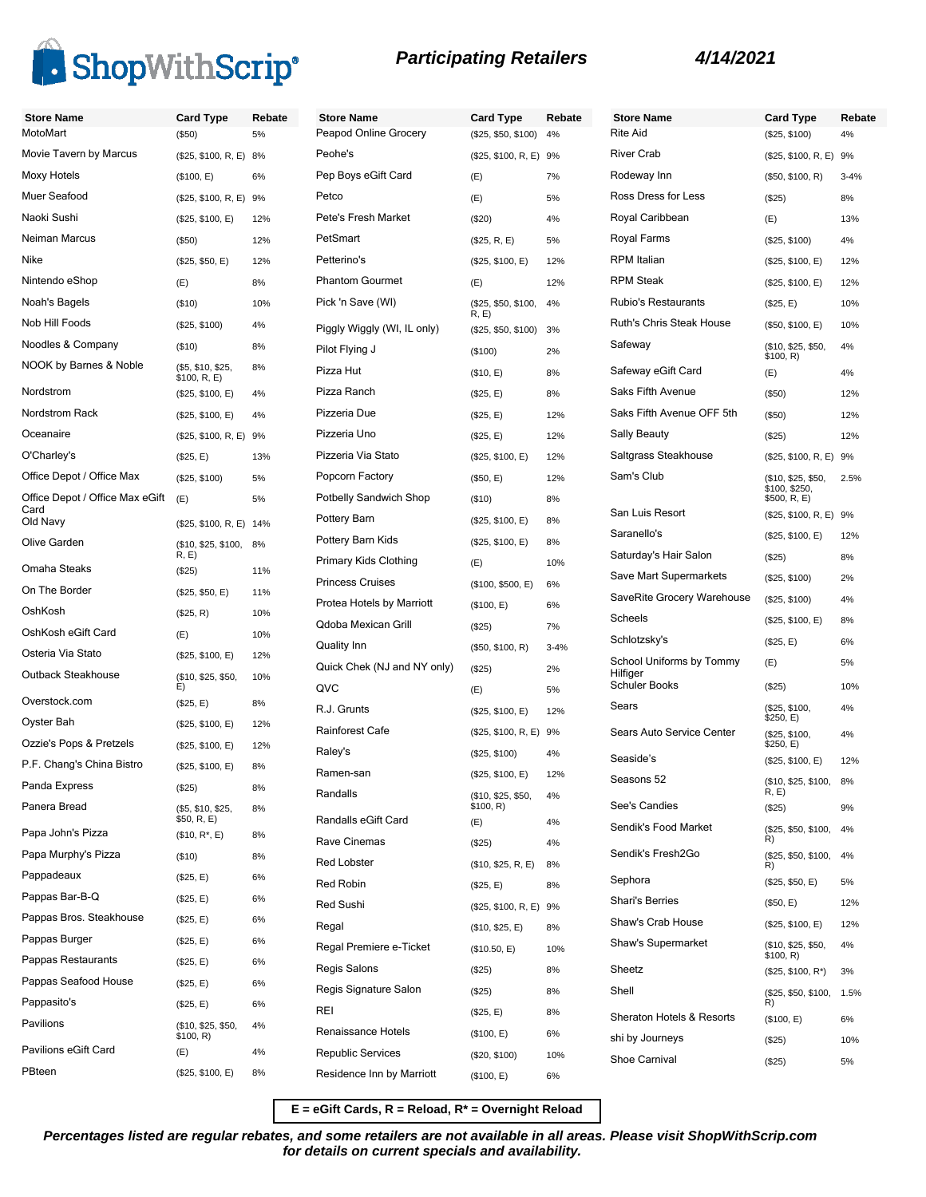

| <b>Store Name</b><br>MotoMart   | <b>Card Type</b>                  | Rebate | <b>Store Name</b>           | <b>Card Type</b>             | Rebate   | Store I<br><b>Rite Aid</b> |
|---------------------------------|-----------------------------------|--------|-----------------------------|------------------------------|----------|----------------------------|
|                                 | (\$50)                            | 5%     | Peapod Online Grocery       | (\$25, \$50, \$100)          | 4%       |                            |
| Movie Tavern by Marcus          | (\$25, \$100, R, E) 8%            |        | Peohe's                     | (\$25, \$100, R, E) 9%       |          | <b>River C</b>             |
| Moxy Hotels                     | (\$100, E)                        | 6%     | Pep Boys eGift Card         | (E)                          | 7%       | Rodewa                     |
| Muer Seafood                    | (\$25, \$100, R, E) 9%            |        | Petco                       | (E)                          | 5%       | Ross D                     |
| Naoki Sushi                     | (\$25, \$100, E)                  | 12%    | Pete's Fresh Market         | (\$20)                       | 4%       | Royal C                    |
| Neiman Marcus                   | (\$50)                            | 12%    | PetSmart                    | (\$25, R, E)                 | 5%       | Royal F                    |
| Nike                            | (\$25, \$50, E)                   | 12%    | Petterino's                 | (\$25, \$100, E)             | 12%      | <b>RPM</b> Ita             |
| Nintendo eShop                  | (E)                               | 8%     | <b>Phantom Gourmet</b>      | (E)                          | 12%      | <b>RPM St</b>              |
| Noah's Bagels                   | (\$10)                            | 10%    | Pick 'n Save (WI)           | (\$25, \$50, \$100,<br>R, E) | 4%       | Rubio's                    |
| Nob Hill Foods                  | (\$25, \$100)                     | 4%     | Piggly Wiggly (WI, IL only) | (\$25, \$50, \$100)          | 3%       | Ruth's (                   |
| Noodles & Company               | (\$10)                            | 8%     | Pilot Flying J              | (\$100)                      | 2%       | Safewa                     |
| NOOK by Barnes & Noble          | (\$5, \$10, \$25,<br>\$100, R, E) | 8%     | Pizza Hut                   | (\$10, E)                    | 8%       | Safewa                     |
| Nordstrom                       | (\$25, \$100, E)                  | 4%     | Pizza Ranch                 | (\$25, E)                    | 8%       | Saks Fi                    |
| Nordstrom Rack                  | (\$25, \$100, E)                  | 4%     | Pizzeria Due                | (\$25, E)                    | 12%      | Saks Fi                    |
| Oceanaire                       | (\$25, \$100, R, E) 9%            |        | Pizzeria Uno                | (\$25, E)                    | 12%      | Sally Be                   |
| O'Charley's                     | (\$25, E)                         | 13%    | Pizzeria Via Stato          | (\$25, \$100, E)             | 12%      | Saltgras                   |
| Office Depot / Office Max       | (\$25, \$100)                     | 5%     | Popcorn Factory             | (\$50, E)                    | 12%      | Sam's (                    |
| Office Depot / Office Max eGift | (E)                               | 5%     | Potbelly Sandwich Shop      | (\$10)                       | 8%       |                            |
| Card<br>Old Navy                | (\$25, \$100, R, E) 14%           |        | Pottery Barn                | (\$25, \$100, E)             | 8%       | San Lui                    |
| Olive Garden                    | (\$10, \$25, \$100,               | 8%     | Pottery Barn Kids           | (\$25, \$100, E)             | 8%       | Sarane                     |
| Omaha Steaks                    | R, E)                             | 11%    | Primary Kids Clothing       | (E)                          | 10%      | Saturda                    |
| On The Border                   | (\$25)                            |        | <b>Princess Cruises</b>     | (\$100, \$500, E)            | 6%       | Save M                     |
| OshKosh                         | (\$25, \$50, E)                   | 11%    | Protea Hotels by Marriott   | (\$100, E)                   | 6%       | SaveRi                     |
| OshKosh eGift Card              | (\$25, R)                         | 10%    | Qdoba Mexican Grill         | (\$25)                       | 7%       | Scheels                    |
| Osteria Via Stato               | (E)                               | 10%    | <b>Quality Inn</b>          | (\$50, \$100, R)             | $3 - 4%$ | Schlotz                    |
| Outback Steakhouse              | (\$25, \$100, E)                  | 12%    | Quick Chek (NJ and NY only) | (\$25)                       | 2%       | School<br>Hilfiger         |
|                                 | (\$10, \$25, \$50,<br>E)          | 10%    | QVC                         | (E)                          | 5%       | Schuler                    |
| Overstock.com                   | (\$25, E)                         | 8%     | R.J. Grunts                 | (\$25, \$100, E)             | 12%      | Sears                      |
| Oyster Bah                      | (\$25, \$100, E)                  | 12%    | <b>Rainforest Cafe</b>      | (\$25, \$100, R, E) 9%       |          | Sears A                    |
| Ozzie's Pops & Pretzels         | (\$25, \$100, E)                  | 12%    | Raley's                     | (\$25, \$100)                | 4%       |                            |
| P.F. Chang's China Bistro       | (\$25, \$100, E)                  | 8%     | Ramen-san                   | (\$25, \$100, E)             | 12%      | Seaside                    |
| Panda Express                   | (\$25)                            | 8%     | Randalls                    | (\$10, \$25, \$50,           | 4%       | Season                     |
| Panera Bread                    | (\$5, \$10, \$25,<br>\$50, R, E)  | 8%     | Randalls eGift Card         | \$100, R)                    |          | See's C                    |
| Papa John's Pizza               | $($10, R^*, E)$                   | 8%     |                             | (E)                          | 4%       | Sendik'                    |
| Papa Murphy's Pizza             | (\$10)                            | 8%     | Rave Cinemas                | (\$25)                       | 4%       | Sendik'                    |
| Pappadeaux                      | (\$25, E)                         | 6%     | <b>Red Lobster</b>          | (\$10, \$25, R, E)           | 8%       | Sephor                     |
| Pappas Bar-B-Q                  | (\$25, E)                         | 6%     | Red Robin                   | (\$25, E)                    | 8%       | Shari's                    |
| Pappas Bros. Steakhouse         | (\$25, E)                         | 6%     | Red Sushi                   | (\$25, \$100, R, E) 9%       |          | Shaw's                     |
| Pappas Burger                   | (\$25, E)                         | 6%     | Regal                       | (\$10, \$25, E)              | 8%       |                            |
| Pappas Restaurants              | (\$25, E)                         | 6%     | Regal Premiere e-Ticket     | (\$10.50, E)                 | 10%      | Shaw's                     |
| Pappas Seafood House            | (\$25, E)                         | 6%     | Regis Salons                | (\$25)                       | 8%       | Sheetz                     |
| Pappasito's                     | (\$25, E)                         | 6%     | Regis Signature Salon       | (\$25)                       | 8%       | Shell                      |
| Pavilions                       | (\$10, \$25, \$50,                | 4%     | REI                         | (\$25, E)                    | 8%       | Sherato                    |
|                                 | \$100, R)                         |        | Renaissance Hotels          | (\$100, E)                   | 6%       | shi by J                   |
| Pavilions eGift Card            | (E)                               | 4%     | <b>Republic Services</b>    | (\$20, \$100)                | 10%      | Shoe C                     |
| PBteen                          | (\$25, \$100, E)                  | 8%     | Residence Inn by Marriott   | (\$100, E)                   | 6%       |                            |

| <b>Store Name</b>                    | <b>Card Type</b>                                    | Rebate   |
|--------------------------------------|-----------------------------------------------------|----------|
| Rite Aid                             | (\$25, \$100)                                       | 4%       |
| River Crab                           | (\$25, \$100, R, E)                                 | 9%       |
| Rodeway Inn                          | (\$50, \$100, R)                                    | $3 - 4%$ |
| Ross Dress for Less                  | $(\$25)$                                            | 8%       |
| Royal Caribbean                      | (E)                                                 | 13%      |
| Royal Farms                          | (\$25, \$100)                                       | 4%       |
| RPM Italian                          | (\$25, \$100, E)                                    | 12%      |
| <b>RPM Steak</b>                     | (\$25, \$100, E)                                    | 12%      |
| Rubio's Restaurants                  | (\$25, E)                                           | 10%      |
| Ruth's Chris Steak House             | (\$50, \$100, E)                                    | 10%      |
| Safeway                              | (\$10, \$25, \$50,<br>\$100, R)                     | 4%       |
| Safeway eGift Card                   | (E)                                                 | 4%       |
| Saks Fifth Avenue                    | $(\$50)$                                            | 12%      |
| Saks Fifth Avenue OFF 5th            | $($ \$50)                                           | 12%      |
| Sally Beauty                         | (\$25)                                              | 12%      |
| Saltgrass Steakhouse                 | (\$25, \$100, R, E)                                 | 9%       |
| Sam's Club                           | (\$10, \$25, \$50,<br>\$100, \$250,<br>\$500, R, E) | 2.5%     |
| San Luis Resort                      | (\$25, \$100, R, E)                                 | 9%       |
| Saranello's                          | (\$25, \$100, E)                                    | 12%      |
| Saturday's Hair Salon                | (\$25)                                              | 8%       |
| Save Mart Supermarkets               | (\$25, \$100)                                       | 2%       |
| SaveRite Grocery Warehouse           | (\$25, \$100)                                       | 4%       |
| Scheels                              | (\$25, \$100, E)                                    | 8%       |
| Schlotzsky's                         | (\$25, E)                                           | 6%       |
| School Uniforms by Tommy<br>Hilfiger | (E)                                                 | 5%       |
| Schuler Books                        | (\$25)                                              | 10%      |
| Sears                                | (\$25, \$100,<br>\$250, E)                          | 4%       |
| Sears Auto Service Center            | (\$25, \$100,<br>\$250, E)                          | 4%       |
| Seaside's                            | (\$25, \$100, E)                                    | 12%      |
| Seasons 52                           | (\$10, \$25, \$100,<br>R, E)                        | 8%       |
| See's Candies                        | (\$25)                                              | 9%       |
| Sendik's Food Market                 | (\$25, \$50, \$100,<br>R)                           | 4%       |
| Sendik's Fresh2Go                    | (\$25, \$50, \$100,<br>R)                           | 4%       |
| Sephora                              | (\$25, \$50, E)                                     | 5%       |
| Shari's Berries                      | (\$50, E)                                           | 12%      |
| Shaw's Crab House                    | (\$25, \$100, E)                                    | 12%      |
| Shaw's Supermarket                   | (\$10, \$25, \$50,<br>\$100, R)                     | 4%       |
| Sheetz                               | (\$25, \$100, R*)                                   | 3%       |
| Shell                                | (\$25, \$50, \$100,<br>R)                           | 1.5%     |
| Sheraton Hotels & Resorts            | (\$100, E)                                          | 6%       |
| shi by Journeys                      | $(\$25)$                                            | 10%      |
| Shoe Carnival                        | $(\$25)$                                            | 5%       |

**E = eGift Cards, R = Reload, R\* = Overnight Reload**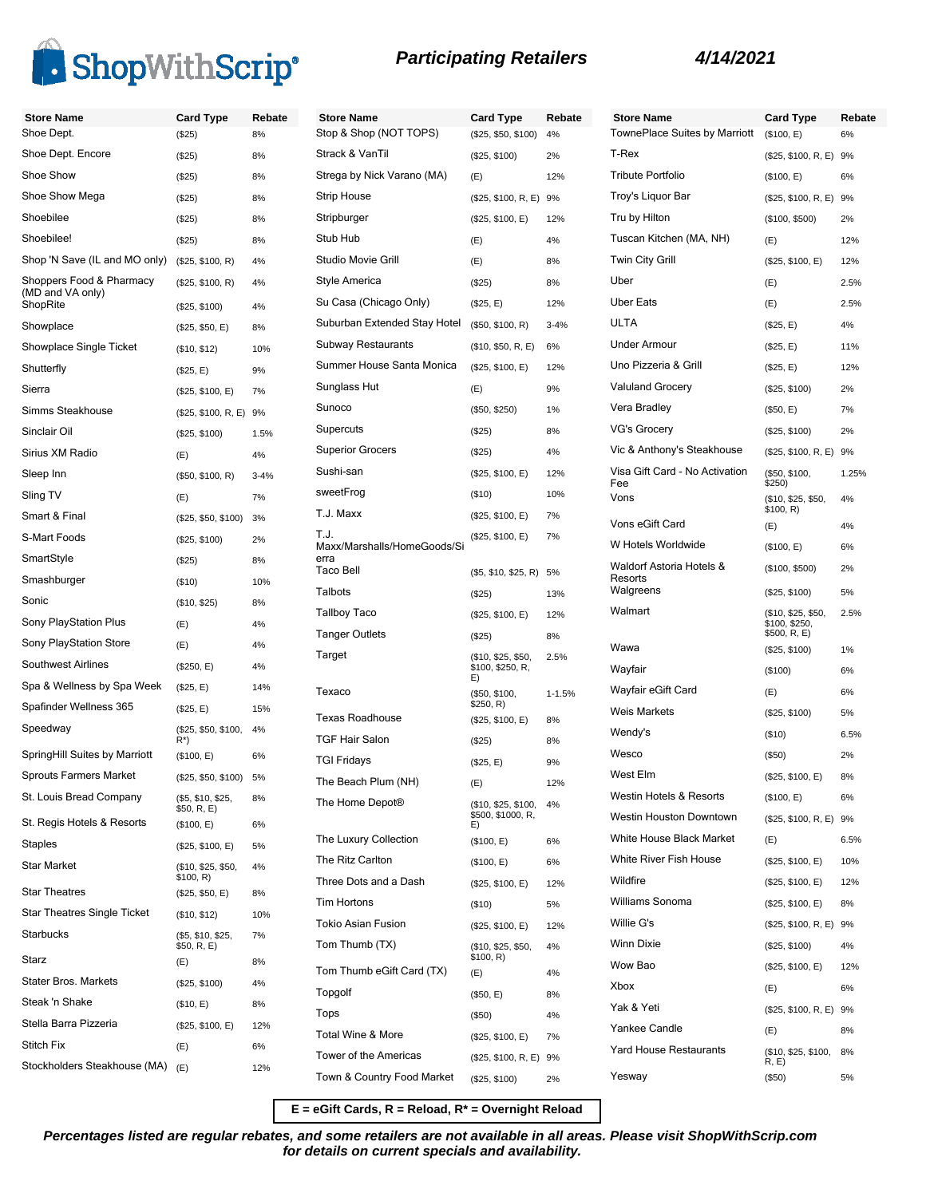

| <b>Store Name</b><br>Shoe Dept. | <b>Card Type</b>                  | Rebate<br>8% | <b>Store Name</b><br>Stop & Shop (NOT |
|---------------------------------|-----------------------------------|--------------|---------------------------------------|
| Shoe Dept. Encore               | (\$25)<br>(\$25)                  | 8%           | Strack & VanTil                       |
| Shoe Show                       | (\$25)                            | 8%           | Strega by Nick Vara                   |
| Shoe Show Mega                  | (\$25)                            | 8%           | <b>Strip House</b>                    |
| Shoebilee                       |                                   | 8%           | Stripburger                           |
| Shoebilee!                      | (\$25)                            | 8%           | Stub Hub                              |
| Shop 'N Save (IL and MO only)   | (\$25)<br>(\$25, \$100, R)        | 4%           | Studio Movie Grill                    |
| Shoppers Food & Pharmacy        |                                   |              | Style America                         |
| (MD and VA only)<br>ShopRite    | (\$25, \$100, R)<br>(\$25, \$100) | 4%<br>4%     | Su Casa (Chicago (                    |
| Showplace                       | (\$25, \$50, E)                   | 8%           | Suburban Extended                     |
| Showplace Single Ticket         | (\$10, \$12)                      | 10%          | Subway Restaurant                     |
| Shutterfly                      | (\$25, E)                         | 9%           | Summer House Sar                      |
| Sierra                          | (\$25, \$100, E)                  | 7%           | Sunglass Hut                          |
| Simms Steakhouse                | (\$25, \$100, R, E) 9%            |              | Sunoco                                |
| Sinclair Oil                    | (\$25, \$100)                     | 1.5%         | Supercuts                             |
| Sirius XM Radio                 | (E)                               | 4%           | <b>Superior Grocers</b>               |
| Sleep Inn                       | (\$50, \$100, R)                  | $3 - 4%$     | Sushi-san                             |
| Sling TV                        | (E)                               | 7%           | sweetFrog                             |
| Smart & Final                   | (\$25, \$50, \$100)               | 3%           | T.J. Maxx                             |
| S-Mart Foods                    | (\$25, \$100)                     | 2%           | T.J.                                  |
| SmartStyle                      |                                   |              | Maxx/Marshalls/Hor<br>erra            |
| Smashburger                     | (\$25)                            | 8%           | Taco Bell                             |
| Sonic                           | (\$10)                            | 10%          | Talbots                               |
|                                 | (\$10, \$25)                      | 8%           | Tallboy Taco                          |
| Sony PlayStation Plus           | (E)                               | 4%           | <b>Tanger Outlets</b>                 |
| Sony PlayStation Store          | (E)                               | 4%           | Target                                |
| <b>Southwest Airlines</b>       | (\$250, E)                        | 4%           |                                       |
| Spa & Wellness by Spa Week      | (\$25, E)                         | 14%          | Texaco                                |
| Spafinder Wellness 365          | (\$25, E)                         | 15%          | <b>Texas Roadhouse</b>                |
| Speedway                        | (\$25, \$50, \$100,<br>R*)        | 4%           | <b>TGF Hair Salon</b>                 |
| SpringHill Suites by Marriott   | (\$100, E)                        | 6%           | <b>TGI Fridays</b>                    |
| <b>Sprouts Farmers Market</b>   | (\$25, \$50, \$100)               | 5%           | The Beach Plum (N                     |
| St. Louis Bread Company         | (\$5, \$10, \$25,<br>\$50, R, E)  | 8%           | The Home Depot <sup>®</sup>           |
| St. Regis Hotels & Resorts      | (\$100, E)                        | 6%           | The Luxury Collecti                   |
| Staples                         | (\$25, \$100, E)                  | 5%           | The Ritz Carlton                      |
| <b>Star Market</b>              | (\$10, \$25, \$50,<br>\$100, R)   | 4%           | Three Dots and a D                    |
| <b>Star Theatres</b>            | (\$25, \$50, E)                   | 8%           | <b>Tim Hortons</b>                    |
| Star Theatres Single Ticket     | (\$10, \$12)                      | 10%          | Tokio Asian Fusion                    |
| <b>Starbucks</b>                | (\$5, \$10, \$25,<br>\$50, R, E)  | 7%           | Tom Thumb (TX)                        |
| Starz                           | (E)                               | 8%           | Tom Thumb eGift C                     |
| Stater Bros. Markets            | (\$25, \$100)                     | 4%           | Topgolf                               |
| Steak 'n Shake                  | (\$10, E)                         | 8%           | Tops                                  |
| Stella Barra Pizzeria           | (\$25, \$100, E)                  | 12%          | <b>Total Wine &amp; More</b>          |
| <b>Stitch Fix</b>               | (E)                               | 6%           | <b>Tower of the Amerio</b>            |
| Stockholders Steakhouse (MA)    | (E)                               | 12%          | Town & Country For                    |

| <b>Store Name</b><br>Stop & Shop (NOT TOPS) | Card Type                                      | Rebate<br>4% |
|---------------------------------------------|------------------------------------------------|--------------|
| Strack & VanTil                             | (\$25, \$50, \$100)<br>(\$25, \$100)           |              |
| Strega by Nick Varano (MA)                  | (E)                                            | 2%<br>12%    |
| Strip House                                 | (\$25, \$100, R, E)                            | 9%           |
| Stripburger                                 | (\$25, \$100, E)                               | 12%          |
| Stub Hub                                    | (E)                                            | 4%           |
| Studio Movie Grill                          | (E)                                            | 8%           |
| Style America                               | $(\$25)$                                       | 8%           |
| Su Casa (Chicago Only)                      | (\$25, E)                                      | 12%          |
| Suburban Extended Stay Hotel                | (\$50, \$100, R)                               | $3 - 4%$     |
| Subway Restaurants                          | (\$10, \$50, R, E)                             | 6%           |
| Summer House Santa Monica                   | (\$25, \$100, E)                               | 12%          |
| Sunglass Hut                                | (E)                                            | 9%           |
| Sunoco                                      |                                                | 1%           |
| Supercuts                                   | (\$50, \$250)                                  | 8%           |
| <b>Superior Grocers</b>                     | (\$25)                                         | 4%           |
| Sushi-san                                   | (\$25)                                         | 12%          |
| sweetFrog                                   | (\$25, \$100, E)<br>$($ \$10)                  | 10%          |
| T.J. Maxx                                   |                                                | 7%           |
| T.J.                                        | (\$25, \$100, E)                               | 7%           |
| Maxx/Marshalls/HomeGoods/Si                 | (\$25, \$100, E)                               |              |
| erra<br>Taco Bell                           | (\$5, \$10, \$25, R)                           | 5%           |
| Talbots                                     | (S25)                                          | 13%          |
| <b>Tallboy Taco</b>                         | (\$25, \$100, E)                               | 12%          |
| Tanger Outlets                              | (S25)                                          | 8%           |
| Target                                      | (\$10, \$25, \$50,<br>\$100, \$250, R,<br>E)   | 2.5%         |
| Texaco                                      | (\$50, \$100,<br>\$250, R)                     | $1 - 1.5%$   |
| Texas Roadhouse                             | (\$25, \$100, E)                               | 8%           |
| TGF Hair Salon                              | (\$25)                                         | 8%           |
| TGI Fridays                                 | (\$25, E)                                      | 9%           |
| The Beach Plum (NH)                         | (E)                                            | 12%          |
| The Home Depot <sup>®</sup>                 | (\$10, \$25, \$100,<br>\$500, \$1000, R.<br>E) | 4%           |
| The Luxury Collection                       | (\$100, E)                                     | 6%           |
| The Ritz Carlton                            | (\$100, E)                                     | 6%           |
| Three Dots and a Dash                       | (\$25, \$100, E)                               | 12%          |
| Tim Hortons                                 | (\$10)                                         | 5%           |
| Tokio Asian Fusion                          | (\$25, \$100, E)                               | 12%          |
| Tom Thumb (TX)                              | (\$10, \$25, \$50,<br>\$100, R)                | 4%           |
| Tom Thumb eGift Card (TX)                   | (E)                                            | 4%           |
| Topgolf                                     | (\$50, E)                                      | 8%           |
| Tops                                        | (\$50)                                         | 4%           |
| Total Wine & More                           | (\$25, \$100, E)                               | 7%           |
| Tower of the Americas                       | (\$25, \$100, R, E) 9%                         |              |
| Town & Country Food Market                  | (\$25, \$100)                                  | 2%           |

| <b>Store Name</b>                                | Card Type                                           | Rebate |
|--------------------------------------------------|-----------------------------------------------------|--------|
| TownePlace Suites by Marriott                    | (\$100, E)                                          | 6%     |
| T-Rex                                            | (\$25, \$100, R, E)                                 | 9%     |
| Tribute Portfolio                                | (\$100, E)                                          | 6%     |
| Troy's Liquor Bar                                | (\$25, \$100, R, E)                                 | 9%     |
| Tru by Hilton                                    | (\$100, \$500)                                      | 2%     |
| Tuscan Kitchen (MA, NH)                          | (E)                                                 | 12%    |
| Twin City Grill                                  | (\$25, \$100, E)                                    | 12%    |
| Uber                                             | (E)                                                 | 2.5%   |
| Uber Eats                                        | (E)                                                 | 2.5%   |
| ULTA                                             | (\$25, E)                                           | 4%     |
| Under Armour                                     | (\$25, E)                                           | 11%    |
| Uno Pizzeria & Grill                             | (\$25, E)                                           | 12%    |
| <b>Valuland Grocery</b>                          | (\$25, \$100)                                       | 2%     |
| Vera Bradley                                     | (\$50, E)                                           | 7%     |
| VG's Grocery                                     | (\$25, \$100)                                       | 2%     |
| Vic & Anthony's Steakhouse                       | (\$25, \$100, R, E)                                 | 9%     |
| Visa Gift Card - No Activation<br>Fee            | (\$50, \$100,<br>\$250)                             | 1.25%  |
| Vons                                             | (\$10, \$25, \$50,<br>\$100, R)                     | 4%     |
| Vons eGift Card                                  | (E)                                                 | 4%     |
| W Hotels Worldwide                               | (\$100, E)                                          | 6%     |
| Waldorf Astoria Hotels &<br>Resorts<br>Walgreens | (\$100, \$500)                                      | 2%     |
|                                                  | (\$25, \$100)                                       | 5%     |
| Walmart                                          | (\$10, \$25, \$50,<br>\$100, \$250,<br>\$500, R, E) | 2.5%   |
| Wawa                                             | (\$25, \$100)                                       | 1%     |
| Wayfair                                          | (\$100)                                             | 6%     |
| Wayfair eGift Card                               | (E)                                                 | 6%     |
| Weis Markets                                     | (\$25, \$100)                                       | 5%     |
| Wendy's                                          | $($ \$10)                                           | 6.5%   |
| Wesco                                            | (\$50)                                              | 2%     |
| West Elm                                         | (\$25, \$100, E)                                    | 8%     |
| Westin Hotels & Resorts                          | (\$100, E)                                          | 6%     |
| Westin Houston Downtown                          | (\$25, \$100, R, E)                                 | 9%     |
| White House Black Market                         | (E)                                                 | 6.5%   |
| White River Fish House                           | (\$25, \$100, E)                                    | 10%    |
| Wildfire                                         | (\$25, \$100, E)                                    | 12%    |
| Williams Sonoma                                  | (\$25, \$100, E)                                    | 8%     |
| Willie G's                                       | (\$25, \$100, R, E)                                 | 9%     |
| Winn Dixie                                       | (\$25, \$100)                                       | 4%     |
| Wow Bao                                          | (\$25, \$100, E)                                    | 12%    |
| Xbox                                             | (E)                                                 | 6%     |
| Yak & Yeti                                       | (\$25, \$100, R, E)                                 | 9%     |
| Yankee Candle                                    | (E)                                                 | 8%     |
| Yard House Restaurants                           | (\$10, \$25, \$100,                                 | 8%     |
| Yesway                                           | R, E<br>$(\$50)$                                    | 5%     |

**E = eGift Cards, R = Reload, R\* = Overnight Reload**